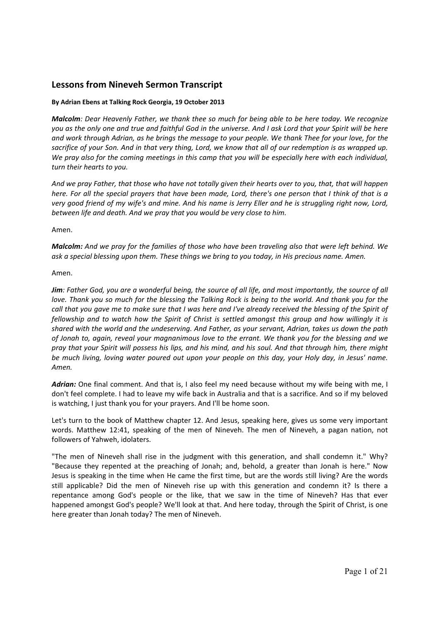# **Lessons from Nineveh Sermon Transcript**

### **By Adrian Ebens at Talking Rock Georgia, 19 October 2013**

*Malcolm: Dear Heavenly Father, we thank thee so much for being able to be here today. We recognize you as the only one and true and faithful God in the universe. And I ask Lord that your Spirit will be here and work through Adrian, as he brings the message to your people. We thank Thee for your love, for the sacrifice of your Son. And in that very thing, Lord, we know that all of our redemption is as wrapped up. We pray also for the coming meetings in this camp that you will be especially here with each individual, turn their hearts to you.* 

*And we pray Father, that those who have not totally given their hearts over to you, that, that will happen here. For all the special prayers that have been made, Lord, there's one person that I think of that is a very good friend of my wife's and mine. And his name is Jerry Eller and he is struggling right now, Lord, between life and death. And we pray that you would be very close to him.* 

Amen.

*Malcolm: And we pray for the families of those who have been traveling also that were left behind. We ask a special blessing upon them. These things we bring to you today, in His precious name. Amen.*

### Amen.

*Jim: Father God, you are a wonderful being, the source of all life, and most importantly, the source of all love. Thank you so much for the blessing the Talking Rock is being to the world. And thank you for the call that you gave me to make sure that I was here and I've already received the blessing of the Spirit of fellowship and to watch how the Spirit of Christ is settled amongst this group and how willingly it is shared with the world and the undeserving. And Father, as your servant, Adrian, takes us down the path of Jonah to, again, reveal your magnanimous love to the errant. We thank you for the blessing and we pray that your Spirit will possess his lips, and his mind, and his soul. And that through him, there might be much living, loving water poured out upon your people on this day, your Holy day, in Jesus' name. Amen.* 

*Adrian:* One final comment. And that is, I also feel my need because without my wife being with me, I don't feel complete. I had to leave my wife back in Australia and that is a sacrifice. And so if my beloved is watching, I just thank you for your prayers. And I'll be home soon.

Let's turn to the book of Matthew chapter 12. And Jesus, speaking here, gives us some very important words. Matthew 12:41, speaking of the men of Nineveh. The men of Nineveh, a pagan nation, not followers of Yahweh, idolaters.

"The men of Nineveh shall rise in the judgment with this generation, and shall condemn it." Why? "Because they repented at the preaching of Jonah; and, behold, a greater than Jonah is here." Now Jesus is speaking in the time when He came the first time, but are the words still living? Are the words still applicable? Did the men of Nineveh rise up with this generation and condemn it? Is there a repentance among God's people or the like, that we saw in the time of Nineveh? Has that ever happened amongst God's people? We'll look at that. And here today, through the Spirit of Christ, is one here greater than Jonah today? The men of Nineveh.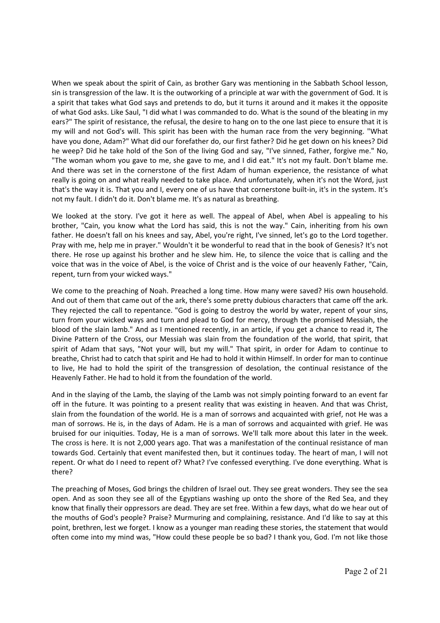When we speak about the spirit of Cain, as brother Gary was mentioning in the Sabbath School lesson, sin is transgression of the law. It is the outworking of a principle at war with the government of God. It is a spirit that takes what God says and pretends to do, but it turns it around and it makes it the opposite of what God asks. Like Saul, "I did what I was commanded to do. What is the sound of the bleating in my ears?" The spirit of resistance, the refusal, the desire to hang on to the one last piece to ensure that it is my will and not God's will. This spirit has been with the human race from the very beginning. "What have you done, Adam?" What did our forefather do, our first father? Did he get down on his knees? Did he weep? Did he take hold of the Son of the living God and say, "I've sinned, Father, forgive me." No, "The woman whom you gave to me, she gave to me, and I did eat." It's not my fault. Don't blame me. And there was set in the cornerstone of the first Adam of human experience, the resistance of what really is going on and what really needed to take place. And unfortunately, when it's not the Word, just that's the way it is. That you and I, every one of us have that cornerstone built‐in, it's in the system. It's not my fault. I didn't do it. Don't blame me. It's as natural as breathing.

We looked at the story. I've got it here as well. The appeal of Abel, when Abel is appealing to his brother, "Cain, you know what the Lord has said, this is not the way." Cain, inheriting from his own father. He doesn't fall on his knees and say, Abel, you're right, I've sinned, let's go to the Lord together. Pray with me, help me in prayer." Wouldn't it be wonderful to read that in the book of Genesis? It's not there. He rose up against his brother and he slew him. He, to silence the voice that is calling and the voice that was in the voice of Abel, is the voice of Christ and is the voice of our heavenly Father, "Cain, repent, turn from your wicked ways."

We come to the preaching of Noah. Preached a long time. How many were saved? His own household. And out of them that came out of the ark, there's some pretty dubious characters that came off the ark. They rejected the call to repentance. "God is going to destroy the world by water, repent of your sins, turn from your wicked ways and turn and plead to God for mercy, through the promised Messiah, the blood of the slain lamb." And as I mentioned recently, in an article, if you get a chance to read it, The Divine Pattern of the Cross, our Messiah was slain from the foundation of the world, that spirit, that spirit of Adam that says, "Not your will, but my will." That spirit, in order for Adam to continue to breathe, Christ had to catch that spirit and He had to hold it within Himself. In order for man to continue to live, He had to hold the spirit of the transgression of desolation, the continual resistance of the Heavenly Father. He had to hold it from the foundation of the world.

And in the slaying of the Lamb, the slaying of the Lamb was not simply pointing forward to an event far off in the future. It was pointing to a present reality that was existing in heaven. And that was Christ, slain from the foundation of the world. He is a man of sorrows and acquainted with grief, not He was a man of sorrows. He is, in the days of Adam. He is a man of sorrows and acquainted with grief. He was bruised for our iniquities. Today, He is a man of sorrows. We'll talk more about this later in the week. The cross is here. It is not 2,000 years ago. That was a manifestation of the continual resistance of man towards God. Certainly that event manifested then, but it continues today. The heart of man, I will not repent. Or what do I need to repent of? What? I've confessed everything. I've done everything. What is there?

The preaching of Moses, God brings the children of Israel out. They see great wonders. They see the sea open. And as soon they see all of the Egyptians washing up onto the shore of the Red Sea, and they know that finally their oppressors are dead. They are set free. Within a few days, what do we hear out of the mouths of God's people? Praise? Murmuring and complaining, resistance. And I'd like to say at this point, brethren, lest we forget. I know as a younger man reading these stories, the statement that would often come into my mind was, "How could these people be so bad? I thank you, God. I'm not like those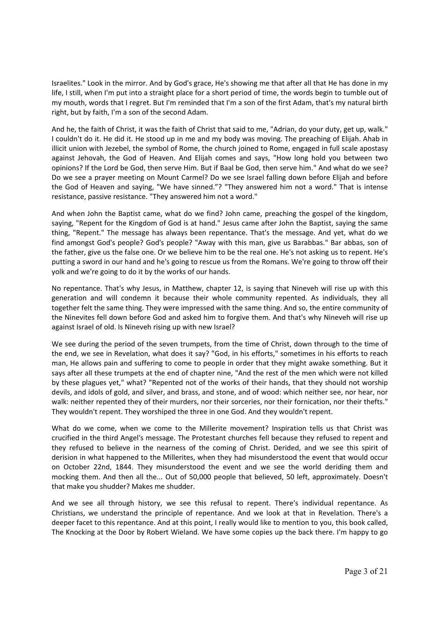Israelites." Look in the mirror. And by God's grace, He's showing me that after all that He has done in my life, I still, when I'm put into a straight place for a short period of time, the words begin to tumble out of my mouth, words that I regret. But I'm reminded that I'm a son of the first Adam, that's my natural birth right, but by faith, I'm a son of the second Adam.

And he, the faith of Christ, it was the faith of Christ that said to me, "Adrian, do your duty, get up, walk." I couldn't do it. He did it. He stood up in me and my body was moving. The preaching of Elijah. Ahab in illicit union with Jezebel, the symbol of Rome, the church joined to Rome, engaged in full scale apostasy against Jehovah, the God of Heaven. And Elijah comes and says, "How long hold you between two opinions? If the Lord be God, then serve Him. But if Baal be God, then serve him." And what do we see? Do we see a prayer meeting on Mount Carmel? Do we see Israel falling down before Elijah and before the God of Heaven and saying, "We have sinned."? "They answered him not a word." That is intense resistance, passive resistance. "They answered him not a word."

And when John the Baptist came, what do we find? John came, preaching the gospel of the kingdom, saying, "Repent for the Kingdom of God is at hand." Jesus came after John the Baptist, saying the same thing, "Repent." The message has always been repentance. That's the message. And yet, what do we find amongst God's people? God's people? "Away with this man, give us Barabbas." Bar abbas, son of the father, give us the false one. Or we believe him to be the real one. He's not asking us to repent. He's putting a sword in our hand and he's going to rescue us from the Romans. We're going to throw off their yolk and we're going to do it by the works of our hands.

No repentance. That's why Jesus, in Matthew, chapter 12, is saying that Nineveh will rise up with this generation and will condemn it because their whole community repented. As individuals, they all together felt the same thing. They were impressed with the same thing. And so, the entire community of the Ninevites fell down before God and asked him to forgive them. And that's why Nineveh will rise up against Israel of old. Is Nineveh rising up with new Israel?

We see during the period of the seven trumpets, from the time of Christ, down through to the time of the end, we see in Revelation, what does it say? "God, in his efforts," sometimes in his efforts to reach man, He allows pain and suffering to come to people in order that they might awake something. But it says after all these trumpets at the end of chapter nine, "And the rest of the men which were not killed by these plagues yet," what? "Repented not of the works of their hands, that they should not worship devils, and idols of gold, and silver, and brass, and stone, and of wood: which neither see, nor hear, nor walk: neither repented they of their murders, nor their sorceries, nor their fornication, nor their thefts." They wouldn't repent. They worshiped the three in one God. And they wouldn't repent.

What do we come, when we come to the Millerite movement? Inspiration tells us that Christ was crucified in the third Angel's message. The Protestant churches fell because they refused to repent and they refused to believe in the nearness of the coming of Christ. Derided, and we see this spirit of derision in what happened to the Millerites, when they had misunderstood the event that would occur on October 22nd, 1844. They misunderstood the event and we see the world deriding them and mocking them. And then all the... Out of 50,000 people that believed, 50 left, approximately. Doesn't that make you shudder? Makes me shudder.

And we see all through history, we see this refusal to repent. There's individual repentance. As Christians, we understand the principle of repentance. And we look at that in Revelation. There's a deeper facet to this repentance. And at this point, I really would like to mention to you, this book called, The Knocking at the Door by Robert Wieland. We have some copies up the back there. I'm happy to go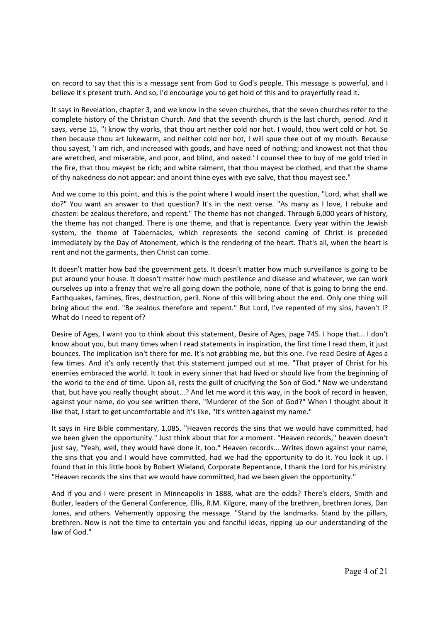on record to say that this is a message sent from God to God's people. This message is powerful, and I believe it's present truth. And so, I'd encourage you to get hold of this and to prayerfully read it.

It says in Revelation, chapter 3, and we know in the seven churches, that the seven churches refer to the complete history of the Christian Church. And that the seventh church is the last church, period. And it says, verse 15, "I know thy works, that thou art neither cold nor hot. I would, thou wert cold or hot. So then because thou art lukewarm, and neither cold nor hot, I will spue thee out of my mouth. Because thou sayest, 'I am rich, and increased with goods, and have need of nothing; and knowest not that thou are wretched, and miserable, and poor, and blind, and naked.' I counsel thee to buy of me gold tried in the fire, that thou mayest be rich; and white raiment, that thou mayest be clothed, and that the shame of thy nakedness do not appear; and anoint thine eyes with eye salve, that thou mayest see."

And we come to this point, and this is the point where I would insert the question, "Lord, what shall we do?" You want an answer to that question? It's in the next verse. "As many as I love, I rebuke and chasten: be zealous therefore, and repent." The theme has not changed. Through 6,000 years of history, the theme has not changed. There is one theme, and that is repentance. Every year within the Jewish system, the theme of Tabernacles, which represents the second coming of Christ is preceded immediately by the Day of Atonement, which is the rendering of the heart. That's all, when the heart is rent and not the garments, then Christ can come.

It doesn't matter how bad the government gets. It doesn't matter how much surveillance is going to be put around your house. It doesn't matter how much pestilence and disease and whatever, we can work ourselves up into a frenzy that we're all going down the pothole, none of that is going to bring the end. Earthquakes, famines, fires, destruction, peril. None of this will bring about the end. Only one thing will bring about the end. "Be zealous therefore and repent." But Lord, I've repented of my sins, haven't I? What do I need to repent of?

Desire of Ages, I want you to think about this statement, Desire of Ages, page 745. I hope that... I don't know about you, but many times when I read statements in inspiration, the first time I read them, it just bounces. The implication isn't there for me. It's not grabbing me, but this one. I've read Desire of Ages a few times. And it's only recently that this statement jumped out at me. "That prayer of Christ for his enemies embraced the world. It took in every sinner that had lived or should live from the beginning of the world to the end of time. Upon all, rests the guilt of crucifying the Son of God." Now we understand that, but have you really thought about...? And let me word it this way, in the book of record in heaven, against your name, do you see written there, "Murderer of the Son of God?" When I thought about it like that, I start to get uncomfortable and it's like, "It's written against my name."

It says in Fire Bible commentary, 1,085, "Heaven records the sins that we would have committed, had we been given the opportunity." Just think about that for a moment. "Heaven records," heaven doesn't just say, "Yeah, well, they would have done it, too." Heaven records... Writes down against your name, the sins that you and I would have committed, had we had the opportunity to do it. You look it up. I found that in this little book by Robert Wieland, Corporate Repentance, I thank the Lord for his ministry. "Heaven records the sins that we would have committed, had we been given the opportunity."

And if you and I were present in Minneapolis in 1888, what are the odds? There's elders, Smith and Butler, leaders of the General Conference, Ellis, R.M. Kilgore, many of the brethren, brethren Jones, Dan Jones, and others. Vehemently opposing the message. "Stand by the landmarks. Stand by the pillars, brethren. Now is not the time to entertain you and fanciful ideas, ripping up our understanding of the law of God."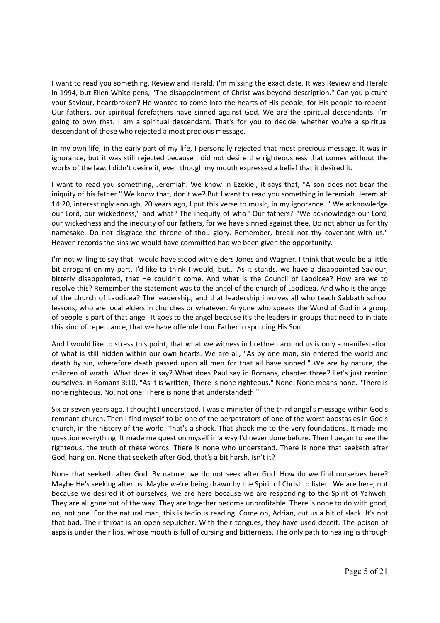I want to read you something, Review and Herald, I'm missing the exact date. It was Review and Herald in 1994, but Ellen White pens, "The disappointment of Christ was beyond description." Can you picture your Saviour, heartbroken? He wanted to come into the hearts of His people, for His people to repent. Our fathers, our spiritual forefathers have sinned against God. We are the spiritual descendants. I'm going to own that. I am a spiritual descendant. That's for you to decide, whether you're a spiritual descendant of those who rejected a most precious message.

In my own life, in the early part of my life, I personally rejected that most precious message. It was in ignorance, but it was still rejected because I did not desire the righteousness that comes without the works of the law. I didn't desire it, even though my mouth expressed a belief that it desired it.

I want to read you something, Jeremiah. We know in Ezekiel, it says that, "A son does not bear the iniquity of his father." We know that, don't we? But I want to read you something in Jeremiah. Jeremiah 14:20, interestingly enough, 20 years ago, I put this verse to music, in my ignorance. " We acknowledge our Lord, our wickedness," and what? The inequity of who? Our fathers? "We acknowledge our Lord, our wickedness and the inequity of our fathers, for we have sinned against thee. Do not abhor us for thy namesake. Do not disgrace the throne of thou glory. Remember, break not thy covenant with us." Heaven records the sins we would have committed had we been given the opportunity.

I'm not willing to say that I would have stood with elders Jones and Wagner. I think that would be a little bit arrogant on my part. I'd like to think I would, but... As it stands, we have a disappointed Saviour, bitterly disappointed, that He couldn't come. And what is the Council of Laodicea? How are we to resolve this? Remember the statement was to the angel of the church of Laodicea. And who is the angel of the church of Laodicea? The leadership, and that leadership involves all who teach Sabbath school lessons, who are local elders in churches or whatever. Anyone who speaks the Word of God in a group of people is part of that angel. It goes to the angel because it's the leaders in groups that need to initiate this kind of repentance, that we have offended our Father in spurning His Son.

And I would like to stress this point, that what we witness in brethren around us is only a manifestation of what is still hidden within our own hearts. We are all, "As by one man, sin entered the world and death by sin, wherefore death passed upon all men for that all have sinned." We are by nature, the children of wrath. What does it say? What does Paul say in Romans, chapter three? Let's just remind ourselves, in Romans 3:10, "As it is written, There is none righteous." None. None means none. "There is none righteous. No, not one: There is none that understandeth."

Six or seven years ago, I thought I understood. I was a minister of the third angel's message within God's remnant church. Then I find myself to be one of the perpetrators of one of the worst apostasies in God's church, in the history of the world. That's a shock. That shook me to the very foundations. It made me question everything. It made me question myself in a way I'd never done before. Then I began to see the righteous, the truth of these words. There is none who understand. There is none that seeketh after God, hang on. None that seeketh after God, that's a bit harsh. Isn't it?

None that seeketh after God. By nature, we do not seek after God. How do we find ourselves here? Maybe He's seeking after us. Maybe we're being drawn by the Spirit of Christ to listen. We are here, not because we desired it of ourselves, we are here because we are responding to the Spirit of Yahweh. They are all gone out of the way. They are together become unprofitable. There is none to do with good, no, not one. For the natural man, this is tedious reading. Come on, Adrian, cut us a bit of slack. It's not that bad. Their throat is an open sepulcher. With their tongues, they have used deceit. The poison of asps is under their lips, whose mouth is full of cursing and bitterness. The only path to healing is through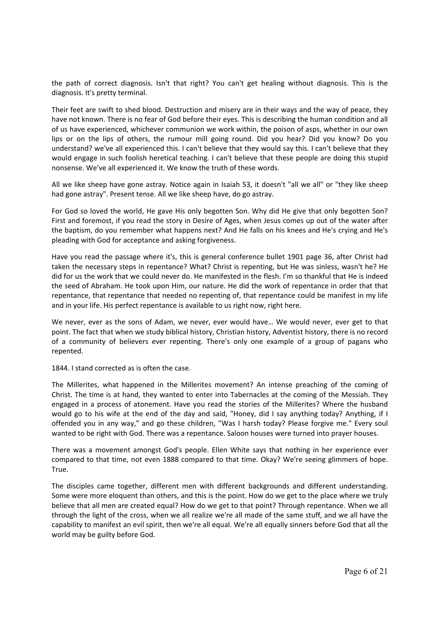the path of correct diagnosis. Isn't that right? You can't get healing without diagnosis. This is the diagnosis. It's pretty terminal.

Their feet are swift to shed blood. Destruction and misery are in their ways and the way of peace, they have not known. There is no fear of God before their eyes. This is describing the human condition and all of us have experienced, whichever communion we work within, the poison of asps, whether in our own lips or on the lips of others, the rumour mill going round. Did you hear? Did you know? Do you understand? we've all experienced this. I can't believe that they would say this. I can't believe that they would engage in such foolish heretical teaching. I can't believe that these people are doing this stupid nonsense. We've all experienced it. We know the truth of these words.

All we like sheep have gone astray. Notice again in Isaiah 53, it doesn't "all we all" or "they like sheep had gone astray". Present tense. All we like sheep have, do go astray.

For God so loved the world, He gave His only begotten Son. Why did He give that only begotten Son? First and foremost, if you read the story in Desire of Ages, when Jesus comes up out of the water after the baptism, do you remember what happens next? And He falls on his knees and He's crying and He's pleading with God for acceptance and asking forgiveness.

Have you read the passage where it's, this is general conference bullet 1901 page 36, after Christ had taken the necessary steps in repentance? What? Christ is repenting, but He was sinless, wasn't he? He did for us the work that we could never do. He manifested in the flesh. I'm so thankful that He is indeed the seed of Abraham. He took upon Him, our nature. He did the work of repentance in order that that repentance, that repentance that needed no repenting of, that repentance could be manifest in my life and in your life. His perfect repentance is available to us right now, right here.

We never, ever as the sons of Adam, we never, ever would have... We would never, ever get to that point. The fact that when we study biblical history, Christian history, Adventist history, there is no record of a community of believers ever repenting. There's only one example of a group of pagans who repented.

1844. I stand corrected as is often the case.

The Millerites, what happened in the Millerites movement? An intense preaching of the coming of Christ. The time is at hand, they wanted to enter into Tabernacles at the coming of the Messiah. They engaged in a process of atonement. Have you read the stories of the Millerites? Where the husband would go to his wife at the end of the day and said, "Honey, did I say anything today? Anything, if I offended you in any way," and go these children, "Was I harsh today? Please forgive me." Every soul wanted to be right with God. There was a repentance. Saloon houses were turned into prayer houses.

There was a movement amongst God's people. Ellen White says that nothing in her experience ever compared to that time, not even 1888 compared to that time. Okay? We're seeing glimmers of hope. True.

The disciples came together, different men with different backgrounds and different understanding. Some were more eloquent than others, and this is the point. How do we get to the place where we truly believe that all men are created equal? How do we get to that point? Through repentance. When we all through the light of the cross, when we all realize we're all made of the same stuff, and we all have the capability to manifest an evil spirit, then we're all equal. We're all equally sinners before God that all the world may be guilty before God.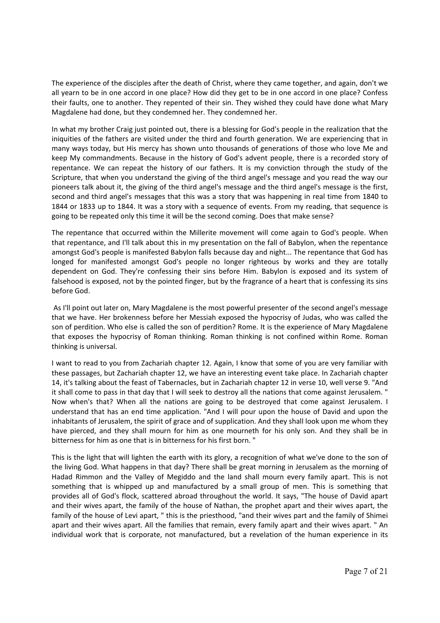The experience of the disciples after the death of Christ, where they came together, and again, don't we all yearn to be in one accord in one place? How did they get to be in one accord in one place? Confess their faults, one to another. They repented of their sin. They wished they could have done what Mary Magdalene had done, but they condemned her. They condemned her.

In what my brother Craig just pointed out, there is a blessing for God's people in the realization that the iniquities of the fathers are visited under the third and fourth generation. We are experiencing that in many ways today, but His mercy has shown unto thousands of generations of those who love Me and keep My commandments. Because in the history of God's advent people, there is a recorded story of repentance. We can repeat the history of our fathers. It is my conviction through the study of the Scripture, that when you understand the giving of the third angel's message and you read the way our pioneers talk about it, the giving of the third angel's message and the third angel's message is the first, second and third angel's messages that this was a story that was happening in real time from 1840 to 1844 or 1833 up to 1844. It was a story with a sequence of events. From my reading, that sequence is going to be repeated only this time it will be the second coming. Does that make sense?

The repentance that occurred within the Millerite movement will come again to God's people. When that repentance, and I'll talk about this in my presentation on the fall of Babylon, when the repentance amongst God's people is manifested Babylon falls because day and night... The repentance that God has longed for manifested amongst God's people no longer righteous by works and they are totally dependent on God. They're confessing their sins before Him. Babylon is exposed and its system of falsehood is exposed, not by the pointed finger, but by the fragrance of a heart that is confessing its sins before God.

 As I'll point out later on, Mary Magdalene is the most powerful presenter of the second angel's message that we have. Her brokenness before her Messiah exposed the hypocrisy of Judas, who was called the son of perdition. Who else is called the son of perdition? Rome. It is the experience of Mary Magdalene that exposes the hypocrisy of Roman thinking. Roman thinking is not confined within Rome. Roman thinking is universal.

I want to read to you from Zachariah chapter 12. Again, I know that some of you are very familiar with these passages, but Zachariah chapter 12, we have an interesting event take place. In Zachariah chapter 14, it's talking about the feast of Tabernacles, but in Zachariah chapter 12 in verse 10, well verse 9. "And it shall come to pass in that day that I will seek to destroy all the nations that come against Jerusalem. " Now when's that? When all the nations are going to be destroyed that come against Jerusalem. I understand that has an end time application. "And I will pour upon the house of David and upon the inhabitants of Jerusalem, the spirit of grace and of supplication. And they shall look upon me whom they have pierced, and they shall mourn for him as one mourneth for his only son. And they shall be in bitterness for him as one that is in bitterness for his first born. "

This is the light that will lighten the earth with its glory, a recognition of what we've done to the son of the living God. What happens in that day? There shall be great morning in Jerusalem as the morning of Hadad Rimmon and the Valley of Megiddo and the land shall mourn every family apart. This is not something that is whipped up and manufactured by a small group of men. This is something that provides all of God's flock, scattered abroad throughout the world. It says, "The house of David apart and their wives apart, the family of the house of Nathan, the prophet apart and their wives apart, the family of the house of Levi apart, " this is the priesthood, "and their wives part and the family of Shimei apart and their wives apart. All the families that remain, every family apart and their wives apart. " An individual work that is corporate, not manufactured, but a revelation of the human experience in its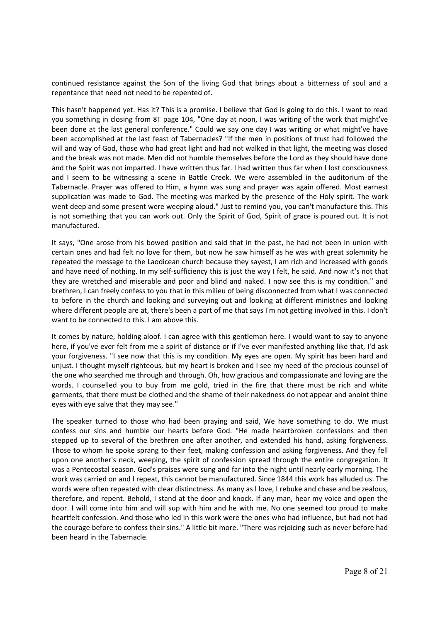continued resistance against the Son of the living God that brings about a bitterness of soul and a repentance that need not need to be repented of.

This hasn't happened yet. Has it? This is a promise. I believe that God is going to do this. I want to read you something in closing from 8T page 104, "One day at noon, I was writing of the work that might've been done at the last general conference." Could we say one day I was writing or what might've have been accomplished at the last feast of Tabernacles? "If the men in positions of trust had followed the will and way of God, those who had great light and had not walked in that light, the meeting was closed and the break was not made. Men did not humble themselves before the Lord as they should have done and the Spirit was not imparted. I have written thus far. I had written thus far when I lost consciousness and I seem to be witnessing a scene in Battle Creek. We were assembled in the auditorium of the Tabernacle. Prayer was offered to Him, a hymn was sung and prayer was again offered. Most earnest supplication was made to God. The meeting was marked by the presence of the Holy spirit. The work went deep and some present were weeping aloud." Just to remind you, you can't manufacture this. This is not something that you can work out. Only the Spirit of God, Spirit of grace is poured out. It is not manufactured.

It says, "One arose from his bowed position and said that in the past, he had not been in union with certain ones and had felt no love for them, but now he saw himself as he was with great solemnity he repeated the message to the Laodicean church because they sayest, I am rich and increased with goods and have need of nothing. In my self-sufficiency this is just the way I felt, he said. And now it's not that they are wretched and miserable and poor and blind and naked. I now see this is my condition." and brethren, I can freely confess to you that in this milieu of being disconnected from what I was connected to before in the church and looking and surveying out and looking at different ministries and looking where different people are at, there's been a part of me that says I'm not getting involved in this. I don't want to be connected to this. I am above this.

It comes by nature, holding aloof. I can agree with this gentleman here. I would want to say to anyone here, if you've ever felt from me a spirit of distance or if I've ever manifested anything like that, I'd ask your forgiveness. "I see now that this is my condition. My eyes are open. My spirit has been hard and unjust. I thought myself righteous, but my heart is broken and I see my need of the precious counsel of the one who searched me through and through. Oh, how gracious and compassionate and loving are the words. I counselled you to buy from me gold, tried in the fire that there must be rich and white garments, that there must be clothed and the shame of their nakedness do not appear and anoint thine eyes with eye salve that they may see."

The speaker turned to those who had been praying and said, We have something to do. We must confess our sins and humble our hearts before God. "He made heartbroken confessions and then stepped up to several of the brethren one after another, and extended his hand, asking forgiveness. Those to whom he spoke sprang to their feet, making confession and asking forgiveness. And they fell upon one another's neck, weeping, the spirit of confession spread through the entire congregation. It was a Pentecostal season. God's praises were sung and far into the night until nearly early morning. The work was carried on and I repeat, this cannot be manufactured. Since 1844 this work has alluded us. The words were often repeated with clear distinctness. As many as I love, I rebuke and chase and be zealous, therefore, and repent. Behold, I stand at the door and knock. If any man, hear my voice and open the door. I will come into him and will sup with him and he with me. No one seemed too proud to make heartfelt confession. And those who led in this work were the ones who had influence, but had not had the courage before to confess their sins." A little bit more. "There was rejoicing such as never before had been heard in the Tabernacle.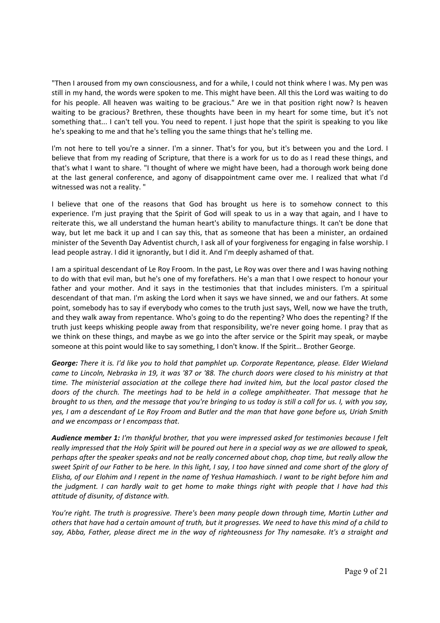"Then I aroused from my own consciousness, and for a while, I could not think where I was. My pen was still in my hand, the words were spoken to me. This might have been. All this the Lord was waiting to do for his people. All heaven was waiting to be gracious." Are we in that position right now? Is heaven waiting to be gracious? Brethren, these thoughts have been in my heart for some time, but it's not something that... I can't tell you. You need to repent. I just hope that the spirit is speaking to you like he's speaking to me and that he's telling you the same things that he's telling me.

I'm not here to tell you're a sinner. I'm a sinner. That's for you, but it's between you and the Lord. I believe that from my reading of Scripture, that there is a work for us to do as I read these things, and that's what I want to share. "I thought of where we might have been, had a thorough work being done at the last general conference, and agony of disappointment came over me. I realized that what I'd witnessed was not a reality. "

I believe that one of the reasons that God has brought us here is to somehow connect to this experience. I'm just praying that the Spirit of God will speak to us in a way that again, and I have to reiterate this, we all understand the human heart's ability to manufacture things. It can't be done that way, but let me back it up and I can say this, that as someone that has been a minister, an ordained minister of the Seventh Day Adventist church, I ask all of your forgiveness for engaging in false worship. I lead people astray. I did it ignorantly, but I did it. And I'm deeply ashamed of that.

I am a spiritual descendant of Le Roy Froom. In the past, Le Roy was over there and I was having nothing to do with that evil man, but he's one of my forefathers. He's a man that I owe respect to honour your father and your mother. And it says in the testimonies that that includes ministers. I'm a spiritual descendant of that man. I'm asking the Lord when it says we have sinned, we and our fathers. At some point, somebody has to say if everybody who comes to the truth just says, Well, now we have the truth, and they walk away from repentance. Who's going to do the repenting? Who does the repenting? If the truth just keeps whisking people away from that responsibility, we're never going home. I pray that as we think on these things, and maybe as we go into the after service or the Spirit may speak, or maybe someone at this point would like to say something, I don't know. If the Spirit… Brother George.

*George: There it is. I'd like you to hold that pamphlet up. Corporate Repentance, please. Elder Wieland came to Lincoln, Nebraska in 19, it was '87 or '88. The church doors were closed to his ministry at that time. The ministerial association at the college there had invited him, but the local pastor closed the doors of the church. The meetings had to be held in a college amphitheater. That message that he brought to us then, and the message that you're bringing to us today is still a call for us. I, with you say, yes, I am a descendant of Le Roy Froom and Butler and the man that have gone before us, Uriah Smith and we encompass or I encompass that.*

*Audience member 1: I'm thankful brother, that you were impressed asked for testimonies because I felt really impressed that the Holy Spirit will be poured out here in a special way as we are allowed to speak, perhaps after the speaker speaks and not be really concerned about chop, chop time, but really allow the sweet Spirit of our Father to be here. In this light, I say, I too have sinned and come short of the glory of Elisha, of our Elohim and I repent in the name of Yeshua Hamashiach. I want to be right before him and the judgment. I can hardly wait to get home to make things right with people that I have had this attitude of disunity, of distance with.* 

*You're right. The truth is progressive. There's been many people down through time, Martin Luther and others that have had a certain amount of truth, but it progresses. We need to have this mind of a child to say, Abba, Father, please direct me in the way of righteousness for Thy namesake. It's a straight and*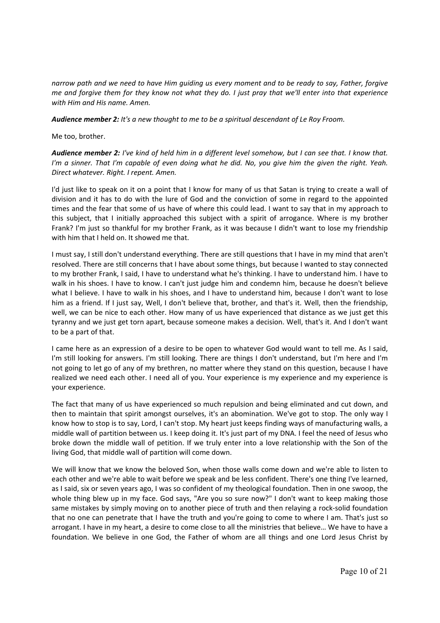*narrow path and we need to have Him guiding us every moment and to be ready to say, Father, forgive me and forgive them for they know not what they do. I just pray that we'll enter into that experience with Him and His name. Amen.* 

*Audience member 2: It's a new thought to me to be a spiritual descendant of Le Roy Froom.*

Me too, brother.

*Audience member 2: I've kind of held him in a different level somehow, but I can see that. I know that. I'm a sinner. That I'm capable of even doing what he did. No, you give him the given the right. Yeah. Direct whatever. Right. I repent. Amen.*

I'd just like to speak on it on a point that I know for many of us that Satan is trying to create a wall of division and it has to do with the lure of God and the conviction of some in regard to the appointed times and the fear that some of us have of where this could lead. I want to say that in my approach to this subject, that I initially approached this subject with a spirit of arrogance. Where is my brother Frank? I'm just so thankful for my brother Frank, as it was because I didn't want to lose my friendship with him that I held on. It showed me that.

I must say, I still don't understand everything. There are still questions that I have in my mind that aren't resolved. There are still concerns that I have about some things, but because I wanted to stay connected to my brother Frank, I said, I have to understand what he's thinking. I have to understand him. I have to walk in his shoes. I have to know. I can't just judge him and condemn him, because he doesn't believe what I believe. I have to walk in his shoes, and I have to understand him, because I don't want to lose him as a friend. If I just say, Well, I don't believe that, brother, and that's it. Well, then the friendship, well, we can be nice to each other. How many of us have experienced that distance as we just get this tyranny and we just get torn apart, because someone makes a decision. Well, that's it. And I don't want to be a part of that.

I came here as an expression of a desire to be open to whatever God would want to tell me. As I said, I'm still looking for answers. I'm still looking. There are things I don't understand, but I'm here and I'm not going to let go of any of my brethren, no matter where they stand on this question, because I have realized we need each other. I need all of you. Your experience is my experience and my experience is your experience.

The fact that many of us have experienced so much repulsion and being eliminated and cut down, and then to maintain that spirit amongst ourselves, it's an abomination. We've got to stop. The only way I know how to stop is to say, Lord, I can't stop. My heart just keeps finding ways of manufacturing walls, a middle wall of partition between us. I keep doing it. It's just part of my DNA. I feel the need of Jesus who broke down the middle wall of petition. If we truly enter into a love relationship with the Son of the living God, that middle wall of partition will come down.

We will know that we know the beloved Son, when those walls come down and we're able to listen to each other and we're able to wait before we speak and be less confident. There's one thing I've learned, as I said, six or seven years ago, I was so confident of my theological foundation. Then in one swoop, the whole thing blew up in my face. God says, "Are you so sure now?" I don't want to keep making those same mistakes by simply moving on to another piece of truth and then relaying a rock-solid foundation that no one can penetrate that I have the truth and you're going to come to where I am. That's just so arrogant. I have in my heart, a desire to come close to all the ministries that believe… We have to have a foundation. We believe in one God, the Father of whom are all things and one Lord Jesus Christ by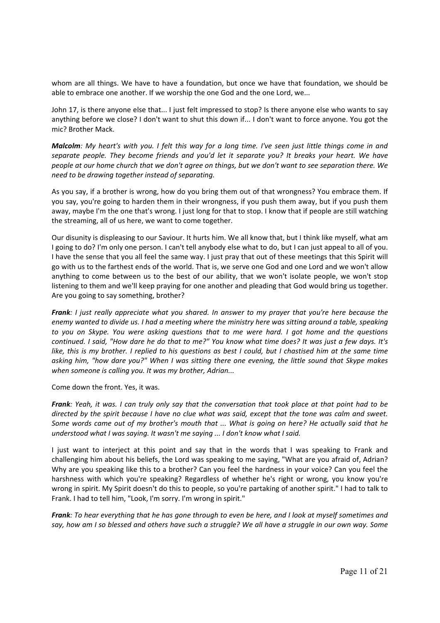whom are all things. We have to have a foundation, but once we have that foundation, we should be able to embrace one another. If we worship the one God and the one Lord, we...

John 17, is there anyone else that... I just felt impressed to stop? Is there anyone else who wants to say anything before we close? I don't want to shut this down if... I don't want to force anyone. You got the mic? Brother Mack.

*Malcolm: My heart's with you. I felt this way for a long time. I've seen just little things come in and separate people. They become friends and you'd let it separate you? It breaks your heart. We have people at our home church that we don't agree on things, but we don't want to see separation there. We need to be drawing together instead of separating.* 

As you say, if a brother is wrong, how do you bring them out of that wrongness? You embrace them. If you say, you're going to harden them in their wrongness, if you push them away, but if you push them away, maybe I'm the one that's wrong. I just long for that to stop. I know that if people are still watching the streaming, all of us here, we want to come together.

Our disunity is displeasing to our Saviour. It hurts him. We all know that, but I think like myself, what am I going to do? I'm only one person. I can't tell anybody else what to do, but I can just appeal to all of you. I have the sense that you all feel the same way. I just pray that out of these meetings that this Spirit will go with us to the farthest ends of the world. That is, we serve one God and one Lord and we won't allow anything to come between us to the best of our ability, that we won't isolate people, we won't stop listening to them and we'll keep praying for one another and pleading that God would bring us together. Are you going to say something, brother?

*Frank: I just really appreciate what you shared. In answer to my prayer that you're here because the enemy wanted to divide us. I had a meeting where the ministry here was sitting around a table, speaking to you on Skype. You were asking questions that to me were hard. I got home and the questions continued. I said, "How dare he do that to me?" You know what time does? It was just a few days. It's like, this is my brother. I replied to his questions as best I could, but I chastised him at the same time asking him, "how dare you?" When I was sitting there one evening, the little sound that Skype makes when someone is calling you. It was my brother, Adrian...* 

Come down the front. Yes, it was.

*Frank: Yeah, it was. I can truly only say that the conversation that took place at that point had to be directed by the spirit because I have no clue what was said, except that the tone was calm and sweet. Some words came out of my brother's mouth that ... What is going on here? He actually said that he understood what I was saying. It wasn't me saying ... I don't know what I said.* 

I just want to interject at this point and say that in the words that I was speaking to Frank and challenging him about his beliefs, the Lord was speaking to me saying, "What are you afraid of, Adrian? Why are you speaking like this to a brother? Can you feel the hardness in your voice? Can you feel the harshness with which you're speaking? Regardless of whether he's right or wrong, you know you're wrong in spirit. My Spirit doesn't do this to people, so you're partaking of another spirit." I had to talk to Frank. I had to tell him, "Look, I'm sorry. I'm wrong in spirit."

*Frank: To hear everything that he has gone through to even be here, and I look at myself sometimes and say, how am I so blessed and others have such a struggle? We all have a struggle in our own way. Some*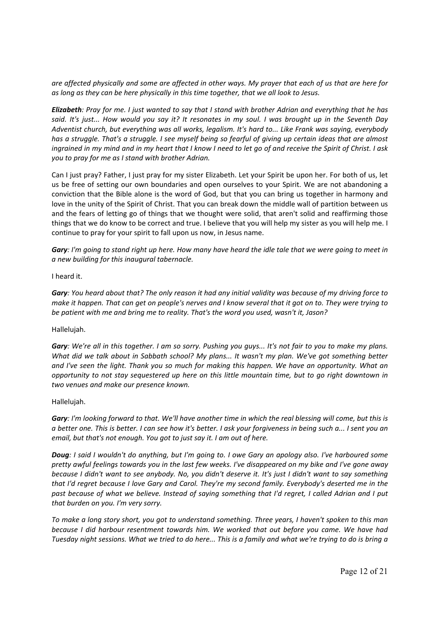*are affected physically and some are affected in other ways. My prayer that each of us that are here for as long as they can be here physically in this time together, that we all look to Jesus.* 

*Elizabeth: Pray for me. I just wanted to say that I stand with brother Adrian and everything that he has said. It's just... How would you say it? It resonates in my soul. I was brought up in the Seventh Day Adventist church, but everything was all works, legalism. It's hard to... Like Frank was saying, everybody has a struggle. That's a struggle. I see myself being so fearful of giving up certain ideas that are almost ingrained in my mind and in my heart that I know I need to let go of and receive the Spirit of Christ. I ask you to pray for me as I stand with brother Adrian.* 

Can I just pray? Father, I just pray for my sister Elizabeth. Let your Spirit be upon her. For both of us, let us be free of setting our own boundaries and open ourselves to your Spirit. We are not abandoning a conviction that the Bible alone is the word of God, but that you can bring us together in harmony and love in the unity of the Spirit of Christ. That you can break down the middle wall of partition between us and the fears of letting go of things that we thought were solid, that aren't solid and reaffirming those things that we do know to be correct and true. I believe that you will help my sister as you will help me. I continue to pray for your spirit to fall upon us now, in Jesus name.

*Gary: I'm going to stand right up here. How many have heard the idle tale that we were going to meet in a new building for this inaugural tabernacle.* 

### I heard it.

*Gary: You heard about that? The only reason it had any initial validity was because of my driving force to make it happen. That can get on people's nerves and I know several that it got on to. They were trying to be patient with me and bring me to reality. That's the word you used, wasn't it, Jason?* 

# Hallelujah.

*Gary: We're all in this together. I am so sorry. Pushing you guys... It's not fair to you to make my plans. What did we talk about in Sabbath school? My plans... It wasn't my plan. We've got something better and I've seen the light. Thank you so much for making this happen. We have an opportunity. What an opportunity to not stay sequestered up here on this little mountain time, but to go right downtown in two venues and make our presence known.* 

### Hallelujah.

*Gary: I'm looking forward to that. We'll have another time in which the real blessing will come, but this is a better one. This is better. I can see how it's better. I ask your forgiveness in being such a... I sent you an email, but that's not enough. You got to just say it. I am out of here.* 

*Doug: I said I wouldn't do anything, but I'm going to. I owe Gary an apology also. I've harboured some pretty awful feelings towards you in the last few weeks. I've disappeared on my bike and I've gone away because I didn't want to see anybody. No, you didn't deserve it. It's just I didn't want to say something that I'd regret because I love Gary and Carol. They're my second family. Everybody's deserted me in the past because of what we believe. Instead of saying something that I'd regret, I called Adrian and I put that burden on you. I'm very sorry.* 

*To make a long story short, you got to understand something. Three years, I haven't spoken to this man because I did harbour resentment towards him. We worked that out before you came. We have had Tuesday night sessions. What we tried to do here... This is a family and what we're trying to do is bring a*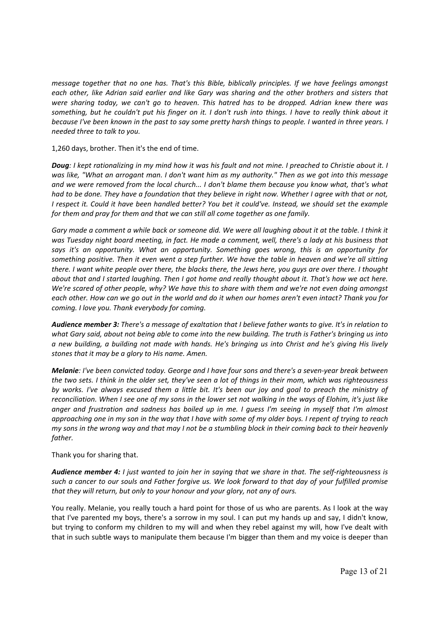*message together that no one has. That's this Bible, biblically principles. If we have feelings amongst each other, like Adrian said earlier and like Gary was sharing and the other brothers and sisters that were sharing today, we can't go to heaven. This hatred has to be dropped. Adrian knew there was something, but he couldn't put his finger on it. I don't rush into things. I have to really think about it because I've been known in the past to say some pretty harsh things to people. I wanted in three years. I needed three to talk to you.* 

1,260 days, brother. Then it's the end of time.

*Doug: I kept rationalizing in my mind how it was his fault and not mine. I preached to Christie about it. I was like, "What an arrogant man. I don't want him as my authority." Then as we got into this message and we were removed from the local church... I don't blame them because you know what, that's what had to be done. They have a foundation that they believe in right now. Whether I agree with that or not, I respect it. Could it have been handled better? You bet it could've. Instead, we should set the example for them and pray for them and that we can still all come together as one family.* 

Gary made a comment a while back or someone did. We were all laughing about it at the table. I think it *was Tuesday night board meeting, in fact. He made a comment, well, there's a lady at his business that says it's an opportunity. What an opportunity. Something goes wrong, this is an opportunity for something positive. Then it even went a step further. We have the table in heaven and we're all sitting there. I want white people over there, the blacks there, the Jews here, you guys are over there. I thought about that and I started laughing. Then I got home and really thought about it. That's how we act here. We're scared of other people, why? We have this to share with them and we're not even doing amongst each other. How can we go out in the world and do it when our homes aren't even intact? Thank you for coming. I love you. Thank everybody for coming.* 

*Audience member 3: There's a message of exaltation that I believe father wants to give. It's in relation to what Gary said, about not being able to come into the new building. The truth is Father's bringing us into a new building, a building not made with hands. He's bringing us into Christ and he's giving His lively stones that it may be a glory to His name. Amen.* 

*Melanie: I've been convicted today. George and I have four sons and there's a seven‐year break between the two sets. I think in the older set, they've seen a lot of things in their mom, which was righteousness by works. I've always excused them a little bit. It's been our joy and goal to preach the ministry of reconciliation. When I see one of my sons in the lower set not walking in the ways of Elohim, it's just like anger and frustration and sadness has boiled up in me. I guess I'm seeing in myself that I'm almost approaching one in my son in the way that I have with some of my older boys. I repent of trying to reach my sons in the wrong way and that may I not be a stumbling block in their coming back to their heavenly father.* 

Thank you for sharing that.

*Audience member 4: I just wanted to join her in saying that we share in that. The self‐righteousness is such a cancer to our souls and Father forgive us. We look forward to that day of your fulfilled promise that they will return, but only to your honour and your glory, not any of ours.* 

You really. Melanie, you really touch a hard point for those of us who are parents. As I look at the way that I've parented my boys, there's a sorrow in my soul. I can put my hands up and say, I didn't know, but trying to conform my children to my will and when they rebel against my will, how I've dealt with that in such subtle ways to manipulate them because I'm bigger than them and my voice is deeper than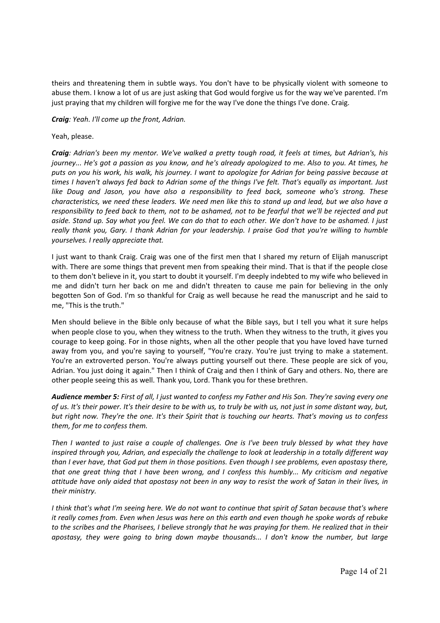theirs and threatening them in subtle ways. You don't have to be physically violent with someone to abuse them. I know a lot of us are just asking that God would forgive us for the way we've parented. I'm just praying that my children will forgive me for the way I've done the things I've done. Craig.

*Craig: Yeah. I'll come up the front, Adrian.* 

Yeah, please.

*Craig: Adrian's been my mentor. We've walked a pretty tough road, it feels at times, but Adrian's, his journey... He's got a passion as you know, and he's already apologized to me. Also to you. At times, he puts on you his work, his walk, his journey. I want to apologize for Adrian for being passive because at times I haven't always fed back to Adrian some of the things I've felt. That's equally as important. Just like Doug and Jason, you have also a responsibility to feed back, someone who's strong. These characteristics, we need these leaders. We need men like this to stand up and lead, but we also have a responsibility to feed back to them, not to be ashamed, not to be fearful that we'll be rejected and put aside. Stand up. Say what you feel. We can do that to each other. We don't have to be ashamed. I just really thank you, Gary. I thank Adrian for your leadership. I praise God that you're willing to humble yourselves. I really appreciate that.* 

I just want to thank Craig. Craig was one of the first men that I shared my return of Elijah manuscript with. There are some things that prevent men from speaking their mind. That is that if the people close to them don't believe in it, you start to doubt it yourself. I'm deeply indebted to my wife who believed in me and didn't turn her back on me and didn't threaten to cause me pain for believing in the only begotten Son of God. I'm so thankful for Craig as well because he read the manuscript and he said to me, "This is the truth."

Men should believe in the Bible only because of what the Bible says, but I tell you what it sure helps when people close to you, when they witness to the truth. When they witness to the truth, it gives you courage to keep going. For in those nights, when all the other people that you have loved have turned away from you, and you're saying to yourself, "You're crazy. You're just trying to make a statement. You're an extroverted person. You're always putting yourself out there. These people are sick of you, Adrian. You just doing it again." Then I think of Craig and then I think of Gary and others. No, there are other people seeing this as well. Thank you, Lord. Thank you for these brethren.

*Audience member 5: First of all, I just wanted to confess my Father and His Son. They're saving every one of us. It's their power. It's their desire to be with us, to truly be with us, not just in some distant way, but, but right now. They're the one. It's their Spirit that is touching our hearts. That's moving us to confess them, for me to confess them.* 

*Then I wanted to just raise a couple of challenges. One is I've been truly blessed by what they have inspired through you, Adrian, and especially the challenge to look at leadership in a totally different way than I ever have, that God put them in those positions. Even though I see problems, even apostasy there, that one great thing that I have been wrong, and I confess this humbly... My criticism and negative attitude have only aided that apostasy not been in any way to resist the work of Satan in their lives, in their ministry.* 

*I think that's what I'm seeing here. We do not want to continue that spirit of Satan because that's where it really comes from. Even when Jesus was here on this earth and even though he spoke words of rebuke to the scribes and the Pharisees, I believe strongly that he was praying for them. He realized that in their apostasy, they were going to bring down maybe thousands... I don't know the number, but large*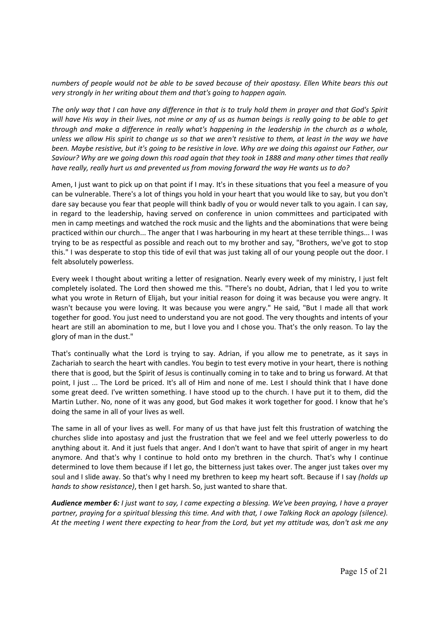*numbers of people would not be able to be saved because of their apostasy. Ellen White bears this out very strongly in her writing about them and that's going to happen again.* 

*The only way that I can have any difference in that is to truly hold them in prayer and that God's Spirit will have His way in their lives, not mine or any of us as human beings is really going to be able to get through and make a difference in really what's happening in the leadership in the church as a whole, unless we allow His spirit to change us so that we aren't resistive to them, at least in the way we have been. Maybe resistive, but it's going to be resistive in love. Why are we doing this against our Father, our Saviour? Why are we going down this road again that they took in 1888 and many other times that really have really, really hurt us and prevented us from moving forward the way He wants us to do?* 

Amen, I just want to pick up on that point if I may. It's in these situations that you feel a measure of you can be vulnerable. There's a lot of things you hold in your heart that you would like to say, but you don't dare say because you fear that people will think badly of you or would never talk to you again. I can say, in regard to the leadership, having served on conference in union committees and participated with men in camp meetings and watched the rock music and the lights and the abominations that were being practiced within our church... The anger that I was harbouring in my heart at these terrible things... I was trying to be as respectful as possible and reach out to my brother and say, "Brothers, we've got to stop this." I was desperate to stop this tide of evil that was just taking all of our young people out the door. I felt absolutely powerless.

Every week I thought about writing a letter of resignation. Nearly every week of my ministry, I just felt completely isolated. The Lord then showed me this. "There's no doubt, Adrian, that I led you to write what you wrote in Return of Elijah, but your initial reason for doing it was because you were angry. It wasn't because you were loving. It was because you were angry." He said, "But I made all that work together for good. You just need to understand you are not good. The very thoughts and intents of your heart are still an abomination to me, but I love you and I chose you. That's the only reason. To lay the glory of man in the dust."

That's continually what the Lord is trying to say. Adrian, if you allow me to penetrate, as it says in Zachariah to search the heart with candles. You begin to test every motive in your heart, there is nothing there that is good, but the Spirit of Jesus is continually coming in to take and to bring us forward. At that point, I just ... The Lord be priced. It's all of Him and none of me. Lest I should think that I have done some great deed. I've written something. I have stood up to the church. I have put it to them, did the Martin Luther. No, none of it was any good, but God makes it work together for good. I know that he's doing the same in all of your lives as well.

The same in all of your lives as well. For many of us that have just felt this frustration of watching the churches slide into apostasy and just the frustration that we feel and we feel utterly powerless to do anything about it. And it just fuels that anger. And I don't want to have that spirit of anger in my heart anymore. And that's why I continue to hold onto my brethren in the church. That's why I continue determined to love them because if I let go, the bitterness just takes over. The anger just takes over my soul and I slide away. So that's why I need my brethren to keep my heart soft. Because if I say *(holds up hands to show resistance)*, then I get harsh. So, just wanted to share that.

*Audience member 6: I just want to say, I came expecting a blessing. We've been praying, I have a prayer partner, praying for a spiritual blessing this time. And with that, I owe Talking Rock an apology (silence). At the meeting I went there expecting to hear from the Lord, but yet my attitude was, don't ask me any*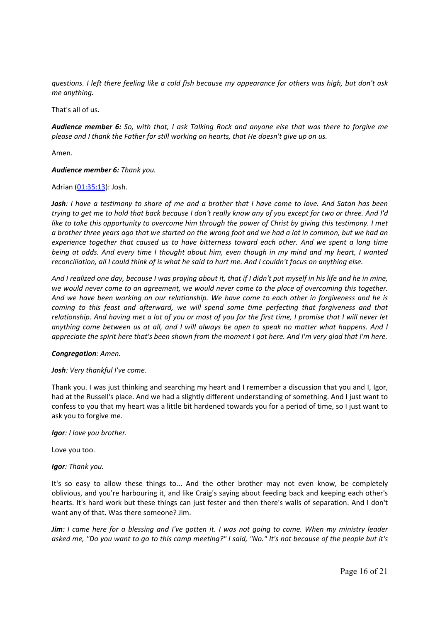*questions. I left there feeling like a cold fish because my appearance for others was high, but don't ask me anything.* 

That's all of us.

*Audience member 6: So, with that, I ask Talking Rock and anyone else that was there to forgive me please and I thank the Father for still working on hearts, that He doesn't give up on us.* 

Amen.

### *Audience member 6: Thank you.*

### Adrian (01:35:13): Josh.

*Josh: I have a testimony to share of me and a brother that I have come to love. And Satan has been trying to get me to hold that back because I don't really know any of you except for two or three. And I'd*  like to take this opportunity to overcome him through the power of Christ by giving this testimony. I met *a brother three years ago that we started on the wrong foot and we had a lot in common, but we had an experience together that caused us to have bitterness toward each other. And we spent a long time being at odds. And every time I thought about him, even though in my mind and my heart, I wanted reconciliation, all I could think of is what he said to hurt me. And I couldn't focus on anything else.* 

*And I realized one day, because I was praying about it, that if I didn't put myself in his life and he in mine, we would never come to an agreement, we would never come to the place of overcoming this together. And we have been working on our relationship. We have come to each other in forgiveness and he is coming to this feast and afterward, we will spend some time perfecting that forgiveness and that relationship. And having met a lot of you or most of you for the first time, I promise that I will never let anything come between us at all, and I will always be open to speak no matter what happens. And I appreciate the spirit here that's been shown from the moment I got here. And I'm very glad that I'm here.* 

### *Congregation: Amen.*

### *Josh: Very thankful I've come.*

Thank you. I was just thinking and searching my heart and I remember a discussion that you and I, Igor, had at the Russell's place. And we had a slightly different understanding of something. And I just want to confess to you that my heart was a little bit hardened towards you for a period of time, so I just want to ask you to forgive me.

### *Igor: I love you brother.*

Love you too.

# *Igor: Thank you.*

It's so easy to allow these things to... And the other brother may not even know, be completely oblivious, and you're harbouring it, and like Craig's saying about feeding back and keeping each other's hearts. It's hard work but these things can just fester and then there's walls of separation. And I don't want any of that. Was there someone? Jim.

*Jim: I came here for a blessing and I've gotten it. I was not going to come. When my ministry leader asked me, "Do you want to go to this camp meeting?" I said, "No." It's not because of the people but it's*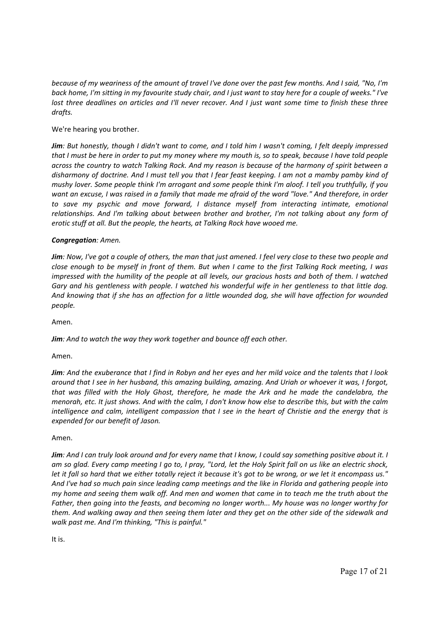*because of my weariness of the amount of travel I've done over the past few months. And I said, "No, I'm back home, I'm sitting in my favourite study chair, and I just want to stay here for a couple of weeks." I've lost three deadlines on articles and I'll never recover. And I just want some time to finish these three drafts.* 

# We're hearing you brother.

*Jim: But honestly, though I didn't want to come, and I told him I wasn't coming, I felt deeply impressed that I must be here in order to put my money where my mouth is, so to speak, because I have told people across the country to watch Talking Rock. And my reason is because of the harmony of spirit between a disharmony of doctrine. And I must tell you that I fear feast keeping. I am not a mamby pamby kind of mushy lover. Some people think I'm arrogant and some people think I'm aloof. I tell you truthfully, if you want an excuse, I was raised in a family that made me afraid of the word "love." And therefore, in order to save my psychic and move forward, I distance myself from interacting intimate, emotional relationships. And I'm talking about between brother and brother, I'm not talking about any form of erotic stuff at all. But the people, the hearts, at Talking Rock have wooed me.* 

# *Congregation: Amen.*

*Jim: Now, I've got a couple of others, the man that just amened. I feel very close to these two people and close enough to be myself in front of them. But when I came to the first Talking Rock meeting, I was impressed with the humility of the people at all levels, our gracious hosts and both of them. I watched Gary and his gentleness with people. I watched his wonderful wife in her gentleness to that little dog. And knowing that if she has an affection for a little wounded dog, she will have affection for wounded people.* 

Amen.

*Jim: And to watch the way they work together and bounce off each other.* 

Amen.

*Jim: And the exuberance that I find in Robyn and her eyes and her mild voice and the talents that I look around that I see in her husband, this amazing building, amazing. And Uriah or whoever it was, I forgot, that was filled with the Holy Ghost, therefore, he made the Ark and he made the candelabra, the menorah, etc. It just shows. And with the calm, I don't know how else to describe this, but with the calm intelligence and calm, intelligent compassion that I see in the heart of Christie and the energy that is expended for our benefit of Jason.* 

# Amen.

*Jim: And I can truly look around and for every name that I know, I could say something positive about it. I am so glad. Every camp meeting I go to, I pray, "Lord, let the Holy Spirit fall on us like an electric shock, let it fall so hard that we either totally reject it because it's got to be wrong, or we let it encompass us." And I've had so much pain since leading camp meetings and the like in Florida and gathering people into my home and seeing them walk off. And men and women that came in to teach me the truth about the Father, then going into the feasts, and becoming no longer worth... My house was no longer worthy for them. And walking away and then seeing them later and they get on the other side of the sidewalk and walk past me. And I'm thinking, "This is painful."* 

It is.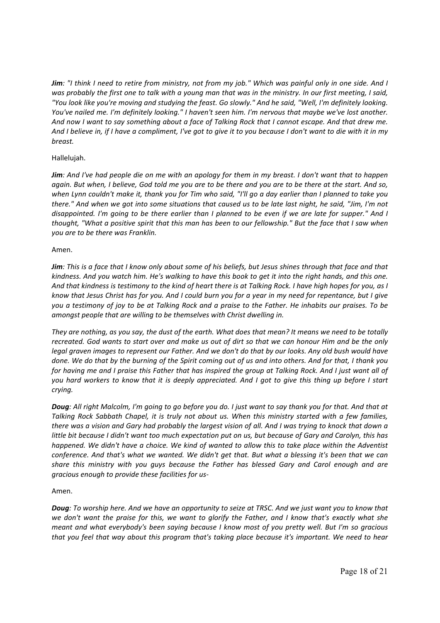*Jim: "I think I need to retire from ministry, not from my job." Which was painful only in one side. And I was probably the first one to talk with a young man that was in the ministry. In our first meeting, I said, "You look like you're moving and studying the feast. Go slowly." And he said, "Well, I'm definitely looking. You've nailed me. I'm definitely looking." I haven't seen him. I'm nervous that maybe we've lost another. And now I want to say something about a face of Talking Rock that I cannot escape. And that drew me. And I believe in, if I have a compliment, I've got to give it to you because I don't want to die with it in my breast.* 

# Hallelujah.

*Jim: And I've had people die on me with an apology for them in my breast. I don't want that to happen again. But when, I believe, God told me you are to be there and you are to be there at the start. And so, when Lynn couldn't make it, thank you for Tim who said, "I'll go a day earlier than I planned to take you there." And when we got into some situations that caused us to be late last night, he said, "Jim, I'm not disappointed. I'm going to be there earlier than I planned to be even if we are late for supper." And I thought, "What a positive spirit that this man has been to our fellowship." But the face that I saw when you are to be there was Franklin.* 

### Amen.

*Jim: This is a face that I know only about some of his beliefs, but Jesus shines through that face and that kindness. And you watch him. He's walking to have this book to get it into the right hands, and this one. And that kindness is testimony to the kind of heart there is at Talking Rock. I have high hopes for you, as I know that Jesus Christ has for you. And I could burn you for a year in my need for repentance, but I give you a testimony of joy to be at Talking Rock and a praise to the Father. He inhabits our praises. To be amongst people that are willing to be themselves with Christ dwelling in.* 

*They are nothing, as you say, the dust of the earth. What does that mean? It means we need to be totally recreated. God wants to start over and make us out of dirt so that we can honour Him and be the only legal graven images to represent our Father. And we don't do that by our looks. Any old bush would have done. We do that by the burning of the Spirit coming out of us and into others. And for that, I thank you for having me and I praise this Father that has inspired the group at Talking Rock. And I just want all of you hard workers to know that it is deeply appreciated. And I got to give this thing up before I start crying.* 

*Doug: All right Malcolm, I'm going to go before you do. I just want to say thank you for that. And that at Talking Rock Sabbath Chapel, it is truly not about us. When this ministry started with a few families, there was a vision and Gary had probably the largest vision of all. And I was trying to knock that down a little bit because I didn't want too much expectation put on us, but because of Gary and Carolyn, this has happened. We didn't have a choice. We kind of wanted to allow this to take place within the Adventist conference. And that's what we wanted. We didn't get that. But what a blessing it's been that we can share this ministry with you guys because the Father has blessed Gary and Carol enough and are gracious enough to provide these facilities for us‐* 

# Amen.

*Doug: To worship here. And we have an opportunity to seize at TRSC. And we just want you to know that we don't want the praise for this, we want to glorify the Father, and I know that's exactly what she meant and what everybody's been saying because I know most of you pretty well. But I'm so gracious that you feel that way about this program that's taking place because it's important. We need to hear*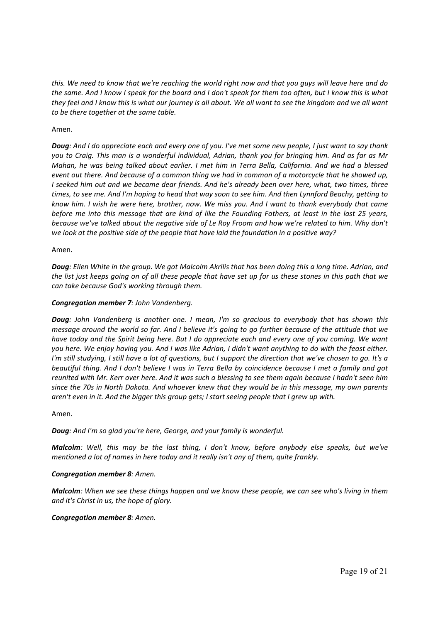*this. We need to know that we're reaching the world right now and that you guys will leave here and do the same. And I know I speak for the board and I don't speak for them too often, but I know this is what they feel and I know this is what our journey is all about. We all want to see the kingdom and we all want to be there together at the same table.* 

### Amen.

*Doug: And I do appreciate each and every one of you. I've met some new people, I just want to say thank you to Craig. This man is a wonderful individual, Adrian, thank you for bringing him. And as far as Mr Mahan, he was being talked about earlier. I met him in Terra Bella, California. And we had a blessed event out there. And because of a common thing we had in common of a motorcycle that he showed up, I seeked him out and we became dear friends. And he's already been over here, what, two times, three times, to see me. And I'm hoping to head that way soon to see him. And then Lynnford Beachy, getting to know him. I wish he were here, brother, now. We miss you. And I want to thank everybody that came before me into this message that are kind of like the Founding Fathers, at least in the last 25 years, because we've talked about the negative side of Le Roy Froom and how we're related to him. Why don't we look at the positive side of the people that have laid the foundation in a positive way?* 

### Amen.

*Doug: Ellen White in the group. We got Malcolm Akrilis that has been doing this a long time. Adrian, and the list just keeps going on of all these people that have set up for us these stones in this path that we can take because God's working through them.* 

### *Congregation member 7: John Vandenberg.*

*Doug: John Vandenberg is another one. I mean, I'm so gracious to everybody that has shown this message around the world so far. And I believe it's going to go further because of the attitude that we have today and the Spirit being here. But I do appreciate each and every one of you coming. We want you here. We enjoy having you. And I was like Adrian, I didn't want anything to do with the feast either. I'm still studying, I still have a lot of questions, but I support the direction that we've chosen to go. It's a beautiful thing. And I don't believe I was in Terra Bella by coincidence because I met a family and got reunited with Mr. Kerr over here. And it was such a blessing to see them again because I hadn't seen him since the 70s in North Dakota. And whoever knew that they would be in this message, my own parents aren't even in it. And the bigger this group gets; I start seeing people that I grew up with.* 

### Amen.

*Doug: And I'm so glad you're here, George, and your family is wonderful.* 

*Malcolm: Well, this may be the last thing, I don't know, before anybody else speaks, but we've mentioned a lot of names in here today and it really isn't any of them, quite frankly.* 

### *Congregation member 8: Amen.*

*Malcolm: When we see these things happen and we know these people, we can see who's living in them and it's Christ in us, the hope of glory.* 

### *Congregation member 8: Amen.*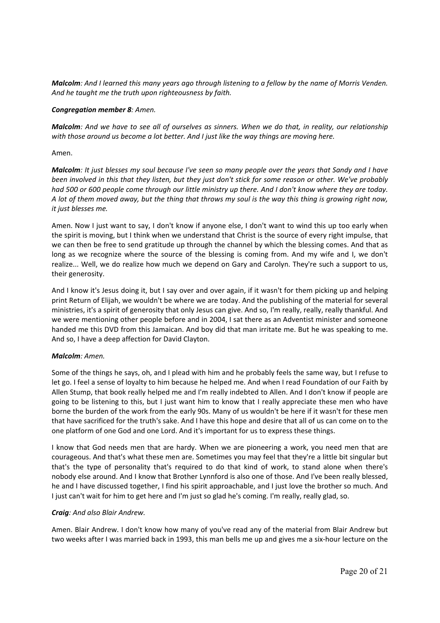*Malcolm: And I learned this many years ago through listening to a fellow by the name of Morris Venden. And he taught me the truth upon righteousness by faith.* 

### *Congregation member 8: Amen.*

*Malcolm: And we have to see all of ourselves as sinners. When we do that, in reality, our relationship with those around us become a lot better. And I just like the way things are moving here.* 

### Amen.

*Malcolm: It just blesses my soul because I've seen so many people over the years that Sandy and I have been involved in this that they listen, but they just don't stick for some reason or other. We've probably had 500 or 600 people come through our little ministry up there. And I don't know where they are today. A lot of them moved away, but the thing that throws my soul is the way this thing is growing right now, it just blesses me.* 

Amen. Now I just want to say, I don't know if anyone else, I don't want to wind this up too early when the spirit is moving, but I think when we understand that Christ is the source of every right impulse, that we can then be free to send gratitude up through the channel by which the blessing comes. And that as long as we recognize where the source of the blessing is coming from. And my wife and I, we don't realize... Well, we do realize how much we depend on Gary and Carolyn. They're such a support to us, their generosity.

And I know it's Jesus doing it, but I say over and over again, if it wasn't for them picking up and helping print Return of Elijah, we wouldn't be where we are today. And the publishing of the material for several ministries, it's a spirit of generosity that only Jesus can give. And so, I'm really, really, really thankful. And we were mentioning other people before and in 2004, I sat there as an Adventist minister and someone handed me this DVD from this Jamaican. And boy did that man irritate me. But he was speaking to me. And so, I have a deep affection for David Clayton.

### *Malcolm: Amen.*

Some of the things he says, oh, and I plead with him and he probably feels the same way, but I refuse to let go. I feel a sense of loyalty to him because he helped me. And when I read Foundation of our Faith by Allen Stump, that book really helped me and I'm really indebted to Allen. And I don't know if people are going to be listening to this, but I just want him to know that I really appreciate these men who have borne the burden of the work from the early 90s. Many of us wouldn't be here if it wasn't for these men that have sacrificed for the truth's sake. And I have this hope and desire that all of us can come on to the one platform of one God and one Lord. And it's important for us to express these things.

I know that God needs men that are hardy. When we are pioneering a work, you need men that are courageous. And that's what these men are. Sometimes you may feel that they're a little bit singular but that's the type of personality that's required to do that kind of work, to stand alone when there's nobody else around. And I know that Brother Lynnford is also one of those. And I've been really blessed, he and I have discussed together, I find his spirit approachable, and I just love the brother so much. And I just can't wait for him to get here and I'm just so glad he's coming. I'm really, really glad, so.

### *Craig: And also Blair Andrew.*

Amen. Blair Andrew. I don't know how many of you've read any of the material from Blair Andrew but two weeks after I was married back in 1993, this man bells me up and gives me a six‐hour lecture on the